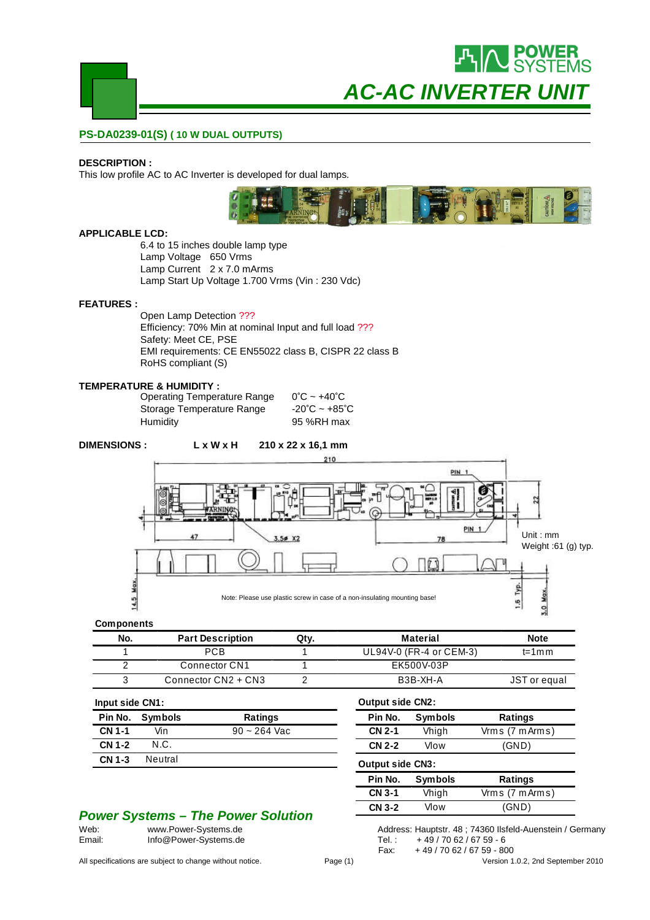

#### **PS-DA0239-01(S) ( 10 W DUAL OUTPUTS)**

#### **DESCRIPTION :**

This low profile AC to AC Inverter is developed for dual lamps.



#### **APPLICABLE LCD:**

6.4 to 15 inches double lamp type Lamp Voltage 650 Vrms Lamp Current 2 x 7.0 mArms Lamp Start Up Voltage 1.700 Vrms (Vin : 230 Vdc)

#### **FEATURES :**

Open Lamp Detection ??? Efficiency: 70% Min at nominal Input and full load ??? Safety: Meet CE, PSE EMI requirements: CE EN55022 class B, CISPR 22 class B RoHS compliant (S)

#### **TEMPERATURE & HUMIDITY :**

| <b>Operating Temperature Range</b> | $0^{\circ}$ C ~ +40 $^{\circ}$ C |
|------------------------------------|----------------------------------|
| Storage Temperature Range          | -20°C ~ +85°C                    |
| Humidity                           | 95 %RH max                       |

### **DIMENSIONS : L x W x H 210 x 22 x 16,1 mm**



**Output side CN2:**

**Output side CN3:**

**Pin No. Symbols Ratings CN 2-1** Vhigh Vrm s (7 m Arm s) **CN 2-2** Vlow (GND)

**Pin No. Symbols Ratings CN 3-1** Vhigh Vrm s (7 m Arm s) **CN 3-2** Vlow (GND)

#### **Components**

| No. | <b>Part Description</b> | Qtv. | <b>Material</b>         | <b>Note</b>  |
|-----|-------------------------|------|-------------------------|--------------|
|     | PCB                     |      | UL94V-0 (FR-4 or CEM-3) | $t = 1$ m m  |
|     | Connector CN1           |      | EK500V-03P              |              |
|     | Connector CN2 + CN3     |      | B3B-XH-A                | JST or equal |

#### **Input side CN1:**

| …www.orgo.org.com |                 |                |
|-------------------|-----------------|----------------|
|                   | Pin No. Symbols | Ratings        |
| <b>CN 1-1</b>     | Vin             | $90 - 264$ Vac |
| CN 1-2            | N.C.            |                |
| CN 1-3            | Neutral         |                |
|                   |                 |                |

## **Power Systems – The Power Solution**<br>Web: www.Power-Systems.de

| Web:   | www.Power-Systems.de  | Address: Hauptstr. 48; 74360 lls |
|--------|-----------------------|----------------------------------|
| Email: | Info@Power-Systems.de | + 49 / 70 62 / 67 59 - 6         |

| All specifications are subject to change without notice. | Page (1) | Version 1.0.2. 2nd September 2010 |
|----------------------------------------------------------|----------|-----------------------------------|
|----------------------------------------------------------|----------|-----------------------------------|

|        | Address: Hauptstr. 48; 74360 Ilsfeld-Auenstein / Germany |
|--------|----------------------------------------------------------|
| Tel. : | + 49 / 70 62 / 67 59 - 6                                 |
| Fax:   | +49/7062/6759-800                                        |